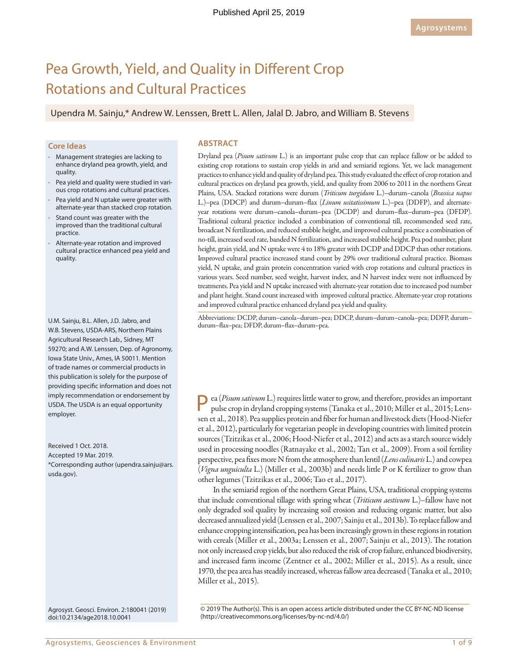# Pea Growth, Yield, and Quality in Different Crop Rotations and Cultural Practices

Upendra M. Sainju,\* Andrew W. Lenssen, Brett L. Allen, Jalal D. Jabro, and William B. Stevens

## **Core Ideas**

- Management strategies are lacking to enhance dryland pea growth, yield, and quality.
- Pea yield and quality were studied in various crop rotations and cultural practices.
- Pea yield and N uptake were greater with alternate-year than stacked crop rotation.
- Stand count was greater with the improved than the traditional cultural practice.
- Alternate-year rotation and improved cultural practice enhanced pea yield and quality.

U.M. Sainju, B.L. Allen, J.D. Jabro, and W.B. Stevens, USDA-ARS, Northern Plains Agricultural Research Lab., Sidney, MT 59270; and A.W. Lenssen, Dep. of Agronomy, Iowa State Univ., Ames, IA 50011. Mention of trade names or commercial products in this publication is solely for the purpose of providing specific information and does not imply recommendation or endorsement by USDA. The USDA is an equal opportunity employer.

Received 1 Oct. 2018. Accepted 19 Mar. 2019. \*Corresponding author [\(upendra.sainju@ars.](mailto:upendra.sainju@ars.usda.gov) [usda.gov](mailto:upendra.sainju@ars.usda.gov)).

Agrosyst. Geosci. Environ. 2:180041 (2019) [doi:10.2134/age2018.10.0041](http://dx.doi.org/10.2134/age2018.10.0041)

## **ABSTRACT**

Dryland pea (*Pisum sativum* L.) is an important pulse crop that can replace fallow or be added to existing crop rotations to sustain crop yields in arid and semiarid regions. Yet, we lack management practices to enhance yield and quality of dryland pea. This study evaluated the effect of crop rotation and cultural practices on dryland pea growth, yield, and quality from 2006 to 2011 in the northern Great Plains, USA. Stacked rotations were durum (*Triticum turgidum* L.)–durum–canola (*Brassica napus* L.)–pea (DDCP) and durum–durum–flax (*Linum usitatissimum* L.)–pea (DDFP), and alternateyear rotations were durum–canola–durum–pea (DCDP) and durum–flax–durum–pea (DFDP). Traditional cultural practice included a combination of conventional till, recommended seed rate, broadcast N fertilization, and reduced stubble height, and improved cultural practice a combination of no-till, increased seed rate, banded N fertilization, and increased stubble height. Pea pod number, plant height, grain yield, and N uptake were 4 to 18% greater with DCDP and DDCP than other rotations. Improved cultural practice increased stand count by 29% over traditional cultural practice. Biomass yield, N uptake, and grain protein concentration varied with crop rotations and cultural practices in various years. Seed number, seed weight, harvest index, and N harvest index were not influenced by treatments. Pea yield and N uptake increased with alternate-year rotation due to increased pod number and plant height. Stand count increased with improved cultural practice. Alternate-year crop rotations and improved cultural practice enhanced dryland pea yield and quality.

Abbreviations: DCDP, durum–canola–durum–pea; DDCP, durum–durum–canola–pea; DDFP, durum– durum–flax–pea; DFDP, durum–flax–durum–pea.

Pea (*Pisum sativum* L.) requires little water to grow, and therefore, provides an important pulse crop in dryland cropping systems (Tanaka et al., 2010; Miller et al., 2015; Lenssen et al., 2018). Pea supplies protein and fiber for human and livestock diets (Hood-Niefer et al., 2012), particularly for vegetarian people in developing countries with limited protein sources (Tzitzikas et al., 2006; Hood-Niefer et al., 2012) and acts as a starch source widely used in processing noodles (Ratnayake et al., 2002; Tan et al., 2009). From a soil fertility perspective, pea fixes more N from the atmosphere than lentil (*Lens culinaris* L.) and cowpea (*Vigna unguiculta* L.) (Miller et al., 2003b) and needs little P or K fertilizer to grow than other legumes (Tzitzikas et al., 2006; Tao et al., 2017).

In the semiarid region of the northern Great Plains, USA, traditional cropping systems that include conventional tillage with spring wheat (*Triticum aestivum* L.)–fallow have not only degraded soil quality by increasing soil erosion and reducing organic matter, but also decreased annualized yield (Lenssen et al., 2007; Sainju et al., 2013b). To replace fallow and enhance cropping intensification, pea has been increasingly grown in these regions in rotation with cereals (Miller et al., 2003a; Lenssen et al., 2007; Sainju et al., 2013). The rotation not only increased crop yields, but also reduced the risk of crop failure, enhanced biodiversity, and increased farm income (Zentner et al., 2002; Miller et al., 2015). As a result, since 1970, the pea area has steadily increased, whereas fallow area decreased (Tanaka et al., 2010; Miller et al., 2015).

© 2019 The Author(s). This is an open access article distributed under the CC BY-NC-ND license [\(http://creativecommons.org/licenses/by-nc-nd/4.0/](http://creativecommons.org/licenses/by-nc-nd/4.0))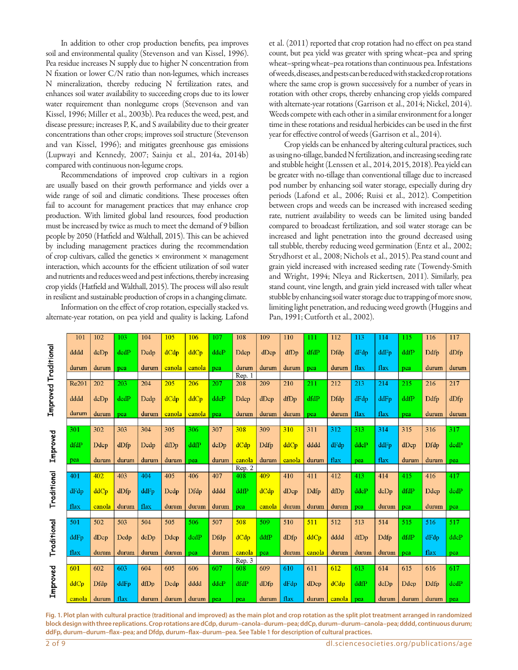In addition to other crop production benefits, pea improves soil and environmental quality (Stevenson and van Kissel, 1996). Pea residue increases N supply due to higher N concentration from N fixation or lower C/N ratio than non-legumes, which increases N mineralization, thereby reducing N fertilization rates, and enhances soil water availability to succeeding crops due to its lower water requirement than nonlegume crops (Stevenson and van Kissel, 1996; Miller et al., 2003b). Pea reduces the weed, pest, and disease pressure; increases P, K, and S availability due to their greater concentrations than other crops; improves soil structure (Stevenson and van Kissel, 1996); and mitigates greenhouse gas emissions (Lupwayi and Kennedy, 2007; Sainju et al., 2014a, 2014b) compared with continuous non-legume crops.

Recommendations of improved crop cultivars in a region are usually based on their growth performance and yields over a wide range of soil and climatic conditions. These processes often fail to account for management practices that may enhance crop production. With limited global land resources, food production must be increased by twice as much to meet the demand of 9 billion people by 2050 (Hatfield and Walthall, 2015). This can be achieved by including management practices during the recommendation of crop cultivars, called the genetics  $\times$  environment  $\times$  management interaction, which accounts for the efficient utilization of soil water and nutrients and reduces weed and pest infections, thereby increasing crop yields (Hatfield and Walthall, 2015). The process will also result in resilient and sustainable production of crops in a changing climate.

Information on the effect of crop rotation, especially stacked vs. alternate-year rotation, on pea yield and quality is lacking. Lafond et al. (2011) reported that crop rotation had no effect on pea stand count, but pea yield was greater with spring wheat–pea and spring wheat–spring wheat–pea rotations than continuous pea. Infestations of weeds, diseases, and pests can be reduced with stacked crop rotations where the same crop is grown successively for a number of years in rotation with other crops, thereby enhancing crop yields compared with alternate-year rotations (Garrison et al., 2014; Nickel, 2014). Weeds compete with each other in a similar environment for a longer time in these rotations and residual herbicides can be used in the first year for effective control of weeds (Garrison et al., 2014).

Crop yields can be enhanced by altering cultural practices, such as using no-tillage, banded N fertilization, and increasing seeding rate and stubble height (Lenssen et al., 2014, 2015, 2018). Pea yield can be greater with no-tillage than conventional tillage due to increased pod number by enhancing soil water storage, especially during dry periods (Lafond et al., 2006; Ruisi et al., 2012). Competition between crops and weeds can be increased with increased seeding rate, nutrient availability to weeds can be limited using banded compared to broadcast fertilization, and soil water storage can be increased and light penetration into the ground decreased using tall stubble, thereby reducing weed germination (Entz et al., 2002; Strydhorst et al., 2008; Nichols et al., 2015). Pea stand count and grain yield increased with increased seeding rate (Towendy-Smith and Wright, 1994; Nleya and Rickertsen, 2011). Similarly, pea stand count, vine length, and grain yield increased with taller wheat stubble by enhancing soil water storage due to trapping of more snow, limiting light penetration, and reducing weed growth (Huggins and Pan, 1991; Cutforth et al., 2002).

|                      | 101    | 102    | 103   | 104   | 105    | 106         | 107   | 108    | 109    | 110    | 111        | 112            | 113   | 114   | 115     | 116   | 117   |
|----------------------|--------|--------|-------|-------|--------|-------------|-------|--------|--------|--------|------------|----------------|-------|-------|---------|-------|-------|
|                      | dddd   | dcDp   | dedP  | Dedp  | dCdp   | ddCp        | ddeP  | Ddep   | dDcp   | dfDp   | dfdP       | Dfdp           | dFdp  | ddFp  | ddfP    | Ddfp  | dDfp  |
|                      | durum  | durum  | pea   | durum | canola | canola      | pea   | durum  | durum  | durum  | pea        | durum          | flax  | flax  | pea     | durum | durum |
|                      |        |        |       |       |        |             |       | Rep. 1 |        |        |            |                |       |       |         |       |       |
|                      | Re201  | 202    | 203   | 204   | 205    | 206         | 207   | 208    | 209    | 210    | 211        | 212            | 213   | 214   | 215     | 216   | 217   |
| Improved Traditional | dddd   | dcDp   | dcdP  | Dedp  | dCdp   | ddCp        | ddeP  | Ddep   | dDep   | dfDp   | dfdP       | Dfdp           | dFdp  | ddFp  | ddfP    | Ddfp  | dDfp  |
|                      | durum  | durum  | pea   | durum | canola | canola      | pea   | durum  | durum  | durum  | pea        | durum          | flax  | flax  | pea     | durum | durum |
|                      |        |        |       |       |        |             |       |        |        |        |            |                |       |       |         |       |       |
|                      | 301    | 302    | 303   | 304   | 305    | 306         | 307   | 308    | 309    | 310    | 311        | 312            | 313   | 314   | 315     | 316   | 317   |
| Improved             | dfdP   | Ddcp   | dDfp  | Dedp  | dfDp   | ddfP        | dcDp  | dCdp   | Ddfp   | ddCp   | dddd       | dFdp           | ddeP  | ddFp  | $d$ Dcp | Dfdp  | dcdP  |
|                      | pea    | durum  | durum | durum | durum  | pea         | durum | canola | durum  | canola | durum      | flax           | pea   | flax  | durum   | durum | pea   |
|                      |        |        |       |       |        |             |       | Rep. 2 |        |        |            |                |       |       |         |       |       |
|                      | 401    | 402    | 403   | 404   | 405    | 406         | 407   | 408    | 409    | 410    | 411        | 412            | 413   | 414   | 415     | 416   | 417   |
| Traditional          | dFdp   | ddCp   | dDfp  | ddFp  | Dedp   | <b>Dfdp</b> | dddd  | ddfP   | dCdp   | dDcp   | Ddfp       | dfDp           | ddeP  | dcDp  | dfdP    | Ddcp  | dedP  |
|                      | flax   | canola | durum | flax  | durum  | durum       | durum | pea    | canola | durum  | durum      | durum          | pea   | durum | pea     | durum | pea   |
|                      |        |        |       |       |        |             |       |        |        |        |            |                |       |       |         |       |       |
|                      | 501    | 502    | 503   | 504   | 505    | 506         | 507   | 508    | 509    | 510    | 511        | 512            | 513   | 514   | 515     | 516   | 517   |
| Traditional          | ddFp   | dDep   | Dedp  | dcDp  | Ddcp   | dedP        | Dfdp  | dCdp   | ddfP   | dDfp   | ddCp       | dddd           | dfDp  | Ddfp  | dfdP    | dFdp  | ddeP  |
|                      | flax   | durum  | durum | durum | durum  | pea         | durum | canola | pea    | durum  | canola     | durum          | durum | durum | pea     | flax  | pea   |
|                      |        |        |       |       |        |             |       | Rep. 3 |        |        |            |                |       |       |         |       |       |
|                      | 601    | 602    | 603   | 604   | 605    | 606         | 607   | 608    | 609    | 610    | 611        | 612            | 613   | 614   | 615     | 616   | 617   |
| Improved             | ddCp   | Dfdp   | ddFp  | dfDp  | Dedp   | dddd        | ddeP  | dfdP   | dDfp   | dFdp   | $d$ Dc $p$ | dCdp           | ddfP  | dcDp  | Ddcp    | Ddfp  | dcdP  |
|                      | canola | durum  | flax  | durum | durum  | durum       | pea   | pea    | durum  | flax   | durum      | $\cosh$ $\sec$ |       | durum | durum   | durum | pea   |

**Fig. 1. Plot plan with cultural practice (traditional and improved) as the main plot and crop rotation as the split plot treatment arranged in randomized block design with three replications. Crop rotations are dCdp, durum–canola–durum–pea; ddCp, durum–durum–canola–pea; dddd, continuous durum; ddFp, durum–durum–flax–pea; and Dfdp, durum–flax–durum–pea. See Table 1 for description of cultural practices.**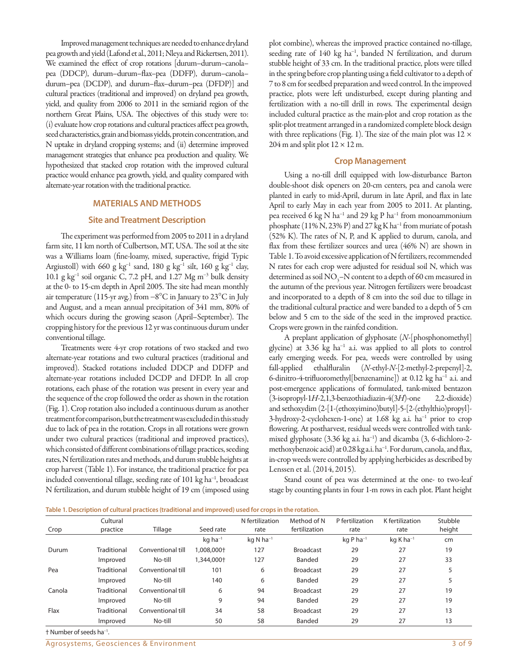Improved management techniques are needed to enhance dryland pea growth and yield (Lafond et al., 2011; Nleya and Rickertsen, 2011). We examined the effect of crop rotations [durum–durum–canola– pea (DDCP), durum–durum–flax–pea (DDFP), durum–canola– durum–pea (DCDP), and durum–flax–durum–pea (DFDP)] and cultural practices (traditional and improved) on dryland pea growth, yield, and quality from 2006 to 2011 in the semiarid region of the northern Great Plains, USA. The objectives of this study were to: (i) evaluate how crop rotations and cultural practices affect pea growth, seed characteristics, grain and biomass yields, protein concentration, and N uptake in dryland cropping systems; and (ii) determine improved management strategies that enhance pea production and quality. We hypothesized that stacked crop rotation with the improved cultural practice would enhance pea growth, yield, and quality compared with alternate-year rotation with the traditional practice.

## **MATERIALS AND METHODS**

## **Site and Treatment Description**

The experiment was performed from 2005 to 2011 in a dryland farm site, 11 km north of Culbertson, MT, USA. The soil at the site was a Williams loam (fine-loamy, mixed, superactive, frigid Typic Argiustoll) with 660 g  $kg^{-1}$  sand, 180 g  $kg^{-1}$  silt, 160 g  $kg^{-1}$  clay, 10.1 g  $kg^{-1}$  soil organic C, 7.2 pH, and 1.27 Mg m<sup>-3</sup> bulk density at the 0- to 15-cm depth in April 2005. The site had mean monthly air temperature (115-yr avg.) from  $-8^{\circ}$ C in January to 23 $^{\circ}$ C in July and August, and a mean annual precipitation of 341 mm, 80% of which occurs during the growing season (April–September). The cropping history for the previous 12 yr was continuous durum under conventional tillage.

Treatments were 4-yr crop rotations of two stacked and two alternate-year rotations and two cultural practices (traditional and improved). Stacked rotations included DDCP and DDFP and alternate-year rotations included DCDP and DFDP. In all crop rotations, each phase of the rotation was present in every year and the sequence of the crop followed the order as shown in the rotation (Fig. 1). Crop rotation also included a continuous durum as another treatment for comparison, but the treatment was excluded in this study due to lack of pea in the rotation. Crops in all rotations were grown under two cultural practices (traditional and improved practices), which consisted of different combinations of tillage practices, seeding rates, N fertilization rates and methods, and durum stubble heights at crop harvest (Table 1). For instance, the traditional practice for pea included conventional tillage, seeding rate of 101 kg ha<sup>-1</sup>, broadcast N fertilization, and durum stubble height of 19 cm (imposed using

plot combine), whereas the improved practice contained no-tillage, seeding rate of 140 kg ha<sup>-1</sup>, banded N fertilization, and durum stubble height of 33 cm. In the traditional practice, plots were tilled in the spring before crop planting using a field cultivator to a depth of 7 to 8 cm for seedbed preparation and weed control. In the improved practice, plots were left undisturbed, except during planting and fertilization with a no-till drill in rows. The experimental design included cultural practice as the main-plot and crop rotation as the split-plot treatment arranged in a randomized complete block design with three replications (Fig. 1). The size of the main plot was  $12 \times$ 204 m and split plot  $12 \times 12$  m.

#### **Crop Management**

Using a no-till drill equipped with low-disturbance Barton double-shoot disk openers on 20-cm centers, pea and canola were planted in early to mid-April, durum in late April, and flax in late April to early May in each year from 2005 to 2011. At planting, pea received 6 kg N ha<sup>-1</sup> and 29 kg P ha<sup>-1</sup> from monoammonium phosphate (11% N, 23% P) and 27 kg K ha<sup>-1</sup> from muriate of potash (52% K). The rates of N, P, and K applied to durum, canola, and flax from these fertilizer sources and urea (46% N) are shown in Table 1. To avoid excessive application of N fertilizers, recommended N rates for each crop were adjusted for residual soil N, which was determined as soil  $NO_3$ – $N$  content to a depth of 60 cm measured in the autumn of the previous year. Nitrogen fertilizers were broadcast and incorporated to a depth of 8 cm into the soil due to tillage in the traditional cultural practice and were banded to a depth of 5 cm below and 5 cm to the side of the seed in the improved practice. Crops were grown in the rainfed condition.

A preplant application of glyphosate (*N*-[phosphonomethyl] glycine) at 3.36 kg ha<sup>-1</sup> a.i. was applied to all plots to control early emerging weeds. For pea, weeds were controlled by using fall-applied ethalfluralin (*N*-ethyl-*N*-[2-methyl-2-prepenyl]-2, 6-dinitro-4-trifluoromethyl[benzenamine]) at 0.12 kg ha-<sup>1</sup> a.i. and post-emergence applications of formulated, tank-mixed bentazon (3-isopropyl-1*H*-2,1,3-benzothiadiazin-4(3*H*)-one 2,2-dioxide) and sethoxydim (2-[1-(ethoxyimino)butyl]-5-[2-(ethylthio)propyl]- 3-hydroxy-2-cyclohexen-1-one) at 1.68 kg a.i. ha<sup>-1</sup> prior to crop flowering. At postharvest, residual weeds were controlled with tankmixed glyphosate (3.36 kg a.i. ha<sup>-1</sup>) and dicamba (3, 6-dichloro-2methoxybenzoic acid) at 0.28 kg a.i. ha<sup>-1</sup>. For durum, canola, and flax, in-crop weeds were controlled by applying herbicides as described by Lenssen et al. (2014, 2015).

Stand count of pea was determined at the one- to two-leaf stage by counting plants in four 1-m rows in each plot. Plant height

|  |  | Table 1. Description of cultural practices (traditional and improved) used for crops in the rotation. |
|--|--|-------------------------------------------------------------------------------------------------------|
|  |  |                                                                                                       |

|        | Cultural    |                   |                       | N fertilization         | Method of N      | P fertilization        | K fertilization         | Stubble |
|--------|-------------|-------------------|-----------------------|-------------------------|------------------|------------------------|-------------------------|---------|
| Crop   | practice    | Tillage           | Seed rate             | rate                    | fertilization    | rate                   | rate                    | height  |
|        |             |                   | $kq$ ha <sup>-1</sup> | $kq$ N ha <sup>-1</sup> |                  | $kqP$ ha <sup>-1</sup> | $kg$ K ha <sup>-1</sup> | cm      |
| Durum  | Traditional | Conventional till | 1,008,000+            | 127                     | <b>Broadcast</b> | 29                     | 27                      | 19      |
|        | Improved    | No-till           | .344,000+             | 127                     | Banded           | 29                     | 27                      | 33      |
| Pea    | Traditional | Conventional till | 101                   | 6                       | <b>Broadcast</b> | 29                     | 27                      |         |
|        | Improved    | No-till           | 140                   | 6                       | Banded           | 29                     | 27                      |         |
| Canola | Traditional | Conventional till | 6                     | 94                      | <b>Broadcast</b> | 29                     | 27                      | 19      |
|        | Improved    | No-till           | 9                     | 94                      | Banded           | 29                     | 27                      | 19      |
| Flax   | Traditional | Conventional till | 34                    | 58                      | <b>Broadcast</b> | 29                     | 27                      | 13      |
|        | Improved    | No-till           | 50                    | 58                      | Banded           | 29                     | 27                      | 13      |

† Number of seeds ha-<sup>1</sup> .

Agrosystems, Geosciences & Environment 3 of 9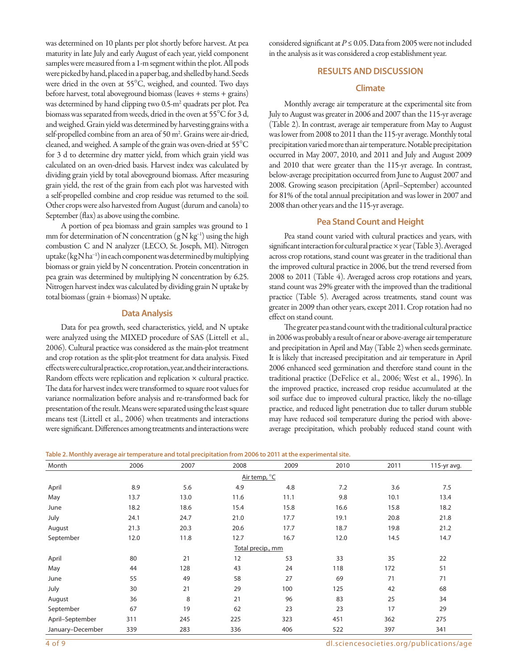was determined on 10 plants per plot shortly before harvest. At pea maturity in late July and early August of each year, yield component samples were measured from a 1-m segment within the plot. All pods were picked by hand, placed in a paper bag, and shelled by hand. Seeds were dried in the oven at 55°C, weighed, and counted. Two days before harvest, total aboveground biomass (leaves + stems + grains) was determined by hand clipping two 0.5-m<sup>2</sup> quadrats per plot. Pea biomass was separated from weeds, dried in the oven at 55°C for 3 d, and weighed. Grain yield was determined by harvesting grains with a self-propelled combine from an area of 50 m<sup>2</sup>. Grains were air-dried, cleaned, and weighed. A sample of the grain was oven-dried at 55°C for 3 d to determine dry matter yield, from which grain yield was calculated on an oven-dried basis. Harvest index was calculated by dividing grain yield by total aboveground biomass. After measuring grain yield, the rest of the grain from each plot was harvested with a self-propelled combine and crop residue was returned to the soil. Other crops were also harvested from August (durum and canola) to September (flax) as above using the combine.

A portion of pea biomass and grain samples was ground to 1 mm for determination of N concentration  $(gN kg<sup>-1</sup>)$  using the high combustion C and N analyzer (LECO, St. Joseph, MI). Nitrogen uptake (kg N ha-<sup>1</sup> ) in each component was determined by multiplying biomass or grain yield by N concentration. Protein concentration in pea grain was determined by multiplying N concentration by 6.25. Nitrogen harvest index was calculated by dividing grain N uptake by total biomass (grain + biomass) N uptake.

# **Data Analysis**

Data for pea growth, seed characteristics, yield, and N uptake were analyzed using the MIXED procedure of SAS (Littell et al., 2006). Cultural practice was considered as the main-plot treatment and crop rotation as the split-plot treatment for data analysis. Fixed effects were cultural practice, crop rotation, year, and their interactions. Random effects were replication and replication × cultural practice. The data for harvest index were transformed to square root values for variance normalization before analysis and re-transformed back for presentation of the result. Means were separated using the least square means test (Littell et al., 2006) when treatments and interactions were significant. Differences among treatments and interactions were considered significant at  $P \le 0.05$ . Data from 2005 were not included in the analysis as it was considered a crop establishment year.

# **RESULTS AND DISCUSSION**

# **Climate**

Monthly average air temperature at the experimental site from July to August was greater in 2006 and 2007 than the 115-yr average (Table 2). In contrast, average air temperature from May to August was lower from 2008 to 2011 than the 115-yr average. Monthly total precipitation varied more than air temperature. Notable precipitation occurred in May 2007, 2010, and 2011 and July and August 2009 and 2010 that were greater than the 115-yr average. In contrast, below-average precipitation occurred from June to August 2007 and 2008. Growing season precipitation (April–September) accounted for 81% of the total annual precipitation and was lower in 2007 and 2008 than other years and the 115-yr average.

# **Pea Stand Count and Height**

Pea stand count varied with cultural practices and years, with significant interaction for cultural practice × year (Table 3). Averaged across crop rotations, stand count was greater in the traditional than the improved cultural practice in 2006, but the trend reversed from 2008 to 2011 (Table 4). Averaged across crop rotations and years, stand count was 29% greater with the improved than the traditional practice (Table 5). Averaged across treatments, stand count was greater in 2009 than other years, except 2011. Crop rotation had no effect on stand count.

The greater pea stand count with the traditional cultural practice in 2006 was probably a result of near or above-average air temperature and precipitation in April and May (Table 2) when seeds germinate. It is likely that increased precipitation and air temperature in April 2006 enhanced seed germination and therefore stand count in the traditional practice (DeFelice et al., 2006; West et al., 1996). In the improved practice, increased crop residue accumulated at the soil surface due to improved cultural practice, likely the no-tillage practice, and reduced light penetration due to taller durum stubble may have reduced soil temperature during the period with aboveaverage precipitation, which probably reduced stand count with

|  |  | Table 2. Monthly average air temperature and total precipitation from 2006 to 2011 at the experimental site. |
|--|--|--------------------------------------------------------------------------------------------------------------|
|  |  |                                                                                                              |
|  |  |                                                                                                              |

| Month            | 2006 | 2007 | 2008              | 2009 | 2010 | 2011 | 115-yr avg. |
|------------------|------|------|-------------------|------|------|------|-------------|
|                  |      |      | Air temp, °C      |      |      |      |             |
| April            | 8.9  | 5.6  | 4.9               | 4.8  | 7.2  | 3.6  | 7.5         |
| May              | 13.7 | 13.0 | 11.6              | 11.1 | 9.8  | 10.1 | 13.4        |
| June             | 18.2 | 18.6 | 15.4              | 15.8 | 16.6 | 15.8 | 18.2        |
| July             | 24.1 | 24.7 | 21.0              | 17.7 | 19.1 | 20.8 | 21.8        |
| August           | 21.3 | 20.3 | 20.6              | 17.7 | 18.7 | 19.8 | 21.2        |
| September        | 12.0 | 11.8 | 12.7              | 16.7 | 12.0 | 14.5 | 14.7        |
|                  |      |      | Total precip., mm |      |      |      |             |
| April            | 80   | 21   | 12                | 53   | 33   | 35   | 22          |
| May              | 44   | 128  | 43                | 24   | 118  | 172  | 51          |
| June             | 55   | 49   | 58                | 27   | 69   | 71   | 71          |
| July             | 30   | 21   | 29                | 100  | 125  | 42   | 68          |
| August           | 36   | 8    | 21                | 96   | 83   | 25   | 34          |
| September        | 67   | 19   | 62                | 23   | 23   | 17   | 29          |
| April-September  | 311  | 245  | 225               | 323  | 451  | 362  | 275         |
| January-December | 339  | 283  | 336               | 406  | 522  | 397  | 341         |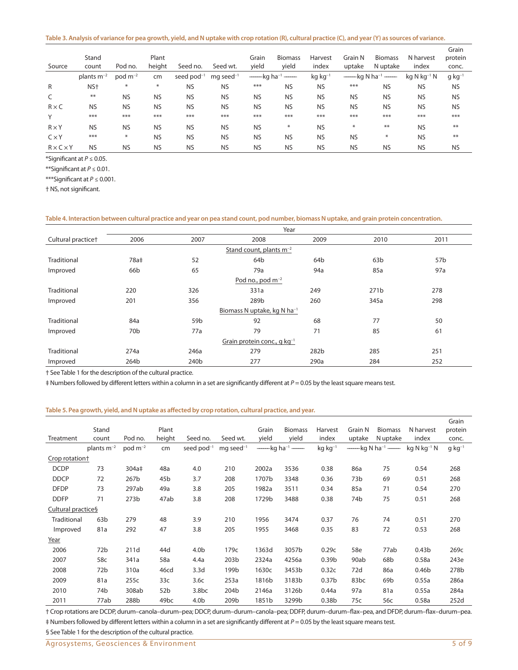|                       |                 |              |           |                 |                         |           |                                                 |                       |           |                            |                    | Grain                |
|-----------------------|-----------------|--------------|-----------|-----------------|-------------------------|-----------|-------------------------------------------------|-----------------------|-----------|----------------------------|--------------------|----------------------|
|                       | Stand           |              | Plant     |                 |                         | Grain     | <b>Biomass</b>                                  | Harvest               | Grain N   | <b>Biomass</b>             | N harvest          | protein              |
| Source                | count           | Pod no.      | height    | Seed no.        | Seed wt.                | yield     | yield                                           | index                 | uptake    | N uptake                   | index              | conc.                |
|                       | plants $m^{-2}$ | $pod m^{-2}$ | cm        | seed $pod^{-1}$ | $mg$ seed <sup>-1</sup> |           | $-\leftarrow$ kg ha <sup>-1</sup> $-\leftarrow$ | $kg$ kg <sup>-1</sup> |           | ——kg N ha <sup>-1</sup> —— | $kq$ N $kq^{-1}$ N | $q$ kg <sup>-1</sup> |
| $\mathsf{R}$          | NS <sup>+</sup> | $\ast$       | $\ast$    | <b>NS</b>       | <b>NS</b>               | ***       | <b>NS</b>                                       | <b>NS</b>             | ***       | <b>NS</b>                  | <b>NS</b>          | <b>NS</b>            |
| C                     | **              | <b>NS</b>    | <b>NS</b> | <b>NS</b>       | <b>NS</b>               | <b>NS</b> | <b>NS</b>                                       | <b>NS</b>             | <b>NS</b> | <b>NS</b>                  | <b>NS</b>          | <b>NS</b>            |
| $R \times C$          | <b>NS</b>       | <b>NS</b>    | <b>NS</b> | <b>NS</b>       | <b>NS</b>               | <b>NS</b> | <b>NS</b>                                       | <b>NS</b>             | <b>NS</b> | <b>NS</b>                  | <b>NS</b>          | <b>NS</b>            |
| Υ                     | ***             | ***          | ***       | ***             | ***                     | ***       | ***                                             | ***                   | ***       | ***                        | ***                | ***                  |
| $R \times Y$          | <b>NS</b>       | <b>NS</b>    | <b>NS</b> | <b>NS</b>       | <b>NS</b>               | <b>NS</b> | $\ast$                                          | <b>NS</b>             | ₩         | **                         | <b>NS</b>          | $**$                 |
| $C \times Y$          | ***             | $\ast$       | <b>NS</b> | <b>NS</b>       | <b>NS</b>               | <b>NS</b> | <b>NS</b>                                       | <b>NS</b>             | <b>NS</b> | ₩                          | <b>NS</b>          | $***$                |
| $R \times C \times Y$ | <b>NS</b>       | <b>NS</b>    | <b>NS</b> | <b>NS</b>       | <b>NS</b>               | <b>NS</b> | <b>NS</b>                                       | <b>NS</b>             | <b>NS</b> | <b>NS</b>                  | <b>NS</b>          | <b>NS</b>            |

\*Significant at *P* ≤ 0.05.

\*\*Significant at *P* ≤ 0.01.

\*\*\*Significant at *P* ≤ 0.001.

† NS, not significant.

#### **Table 4. Interaction between cultural practice and year on pea stand count, pod number, biomass N uptake, and grain protein concentration.**

|                                | Year                         |                  |                                           |                 |                  |                 |  |  |  |  |  |  |
|--------------------------------|------------------------------|------------------|-------------------------------------------|-----------------|------------------|-----------------|--|--|--|--|--|--|
| Cultural practice <sup>+</sup> | 2006                         | 2007             | 2008                                      | 2009            | 2010             | 2011            |  |  |  |  |  |  |
|                                | Stand count, plants $m^{-2}$ |                  |                                           |                 |                  |                 |  |  |  |  |  |  |
| Traditional                    | 78a‡                         | 52               | 64 <sub>b</sub>                           | 64 <sub>b</sub> | 63b              | 57 <sub>b</sub> |  |  |  |  |  |  |
| Improved                       | 66 <sub>b</sub>              | 65               | 79a                                       | 94a             | 85a              | 97a             |  |  |  |  |  |  |
| Pod no., pod $m^{-2}$          |                              |                  |                                           |                 |                  |                 |  |  |  |  |  |  |
| Traditional                    | 220                          | 326              | 331a                                      | 249             | 271 <sub>b</sub> | 278             |  |  |  |  |  |  |
| Improved                       | 201                          | 356              | 289b                                      | 260             | 345a             | 298             |  |  |  |  |  |  |
|                                |                              |                  | Biomass N uptake, kg N ha <sup>-1</sup>   |                 |                  |                 |  |  |  |  |  |  |
| Traditional                    | 84a                          | 59 <sub>b</sub>  | 92                                        | 68              | 77               | 50              |  |  |  |  |  |  |
| Improved                       | 70 <sub>b</sub>              | 77a              | 79                                        | 71              | 85               | 61              |  |  |  |  |  |  |
|                                |                              |                  | Grain protein conc., $q$ kg <sup>-1</sup> |                 |                  |                 |  |  |  |  |  |  |
| Traditional                    | 274a                         | 246a             | 279                                       | 282b            | 285              | 251             |  |  |  |  |  |  |
| Improved                       | 264b                         | 240 <sub>b</sub> | 277                                       | 290a            | 284              | 252             |  |  |  |  |  |  |

† See Table 1 for the description of the cultural practice.

‡ Numbers followed by different letters within a column in a set are significantly different at *P* = 0.05 by the least square means test.

### **Table 5. Pea growth, yield, and N uptake as affected by crop rotation, cultural practice, and year.**

|                            |                 |                   |                  |                   |                         |                          |                          |                       |                          |                             |                   | Grain       |
|----------------------------|-----------------|-------------------|------------------|-------------------|-------------------------|--------------------------|--------------------------|-----------------------|--------------------------|-----------------------------|-------------------|-------------|
|                            | Stand           |                   | Plant            |                   |                         | Grain                    | <b>Biomass</b>           | Harvest               | Grain N                  | <b>Biomass</b>              | N harvest         | protein     |
| Treatment                  | count           | Pod no.           | height           | Seed no.          | Seed wt.                | yield                    | yield                    | index                 | uptake                   | N uptake                    | index             | conc.       |
|                            | plants $m^{-2}$ | $pod m^{-2}$      | cm               | seed $pod^{-1}$   | $mg$ seed <sup>-1</sup> | $\overline{\phantom{a}}$ | $-kg$ ha <sup>-1</sup> — | $kg$ kg <sup>-1</sup> | $\overline{\phantom{0}}$ | $-$ kg N ha <sup>-1</sup> — | $kg N kg^{-1} N$  | $g kg^{-1}$ |
| Crop rotation <sup>+</sup> |                 |                   |                  |                   |                         |                          |                          |                       |                          |                             |                   |             |
| <b>DCDP</b>                | 73              | 304a <sup>‡</sup> | 48a              | 4.0               | 210                     | 2002a                    | 3536                     | 0.38                  | 86a                      | 75                          | 0.54              | 268         |
| <b>DDCP</b>                | 72              | 267b              | 45 <sub>b</sub>  | 3.7               | 208                     | 1707b                    | 3348                     | 0.36                  | 73b                      | 69                          | 0.51              | 268         |
| <b>DFDP</b>                | 73              | 297ab             | 49a              | 3.8               | 205                     | 1982a                    | 3511                     | 0.34                  | 85a                      | 71                          | 0.54              | 270         |
| <b>DDFP</b>                | 71              | 273 <sub>b</sub>  | 47ab             | 3.8               | 208                     | 1729b                    | 3488                     | 0.38                  | 74b                      | 75                          | 0.51              | 268         |
| Cultural practice§         |                 |                   |                  |                   |                         |                          |                          |                       |                          |                             |                   |             |
| Traditional                | 63 <sub>b</sub> | 279               | 48               | 3.9               | 210                     | 1956                     | 3474                     | 0.37                  | 76                       | 74                          | 0.51              | 270         |
| Improved                   | 81a             | 292               | 47               | 3.8               | 205                     | 1955                     | 3468                     | 0.35                  | 83                       | 72                          | 0.53              | 268         |
| Year                       |                 |                   |                  |                   |                         |                          |                          |                       |                          |                             |                   |             |
| 2006                       | 72 <sub>b</sub> | 211d              | 44d              | 4.0 <sub>b</sub>  | 179c                    | 1363d                    | 3057b                    | 0.29c                 | 58e                      | 77ab                        | 0.43 <sub>b</sub> | 269c        |
| 2007                       | 58c             | 341a              | 58a              | 4.4a              | 203b                    | 2324a                    | 4256a                    | 0.39 <sub>b</sub>     | 90ab                     | 68b                         | 0.58a             | 243e        |
| 2008                       | 72b             | 310a              | 46cd             | 3.3 <sub>d</sub>  | 199b                    | 1630c                    | 3453b                    | 0.32c                 | 72d                      | 86a                         | 0.46 <sub>b</sub> | 278b        |
| 2009                       | 81a             | 255c              | 33 <sub>c</sub>  | 3.6c              | 253a                    | 1816b                    | 3183b                    | 0.37 <sub>b</sub>     | 83 <sub>bc</sub>         | 69b                         | 0.55a             | 286a        |
| 2010                       | 74b             | 308ab             | 52 <sub>b</sub>  | 3.8 <sub>bc</sub> | 204b                    | 2146a                    | 3126b                    | 0.44a                 | 97a                      | 81a                         | 0.55a             | 284a        |
| 2011                       | 77ab            | 288b              | 49 <sub>bc</sub> | 4.0 <sub>b</sub>  | 209b                    | 1851b                    | 3299b                    | 0.38 <sub>b</sub>     | 75c                      | 56c                         | 0.58a             | 252d        |

† Crop rotations are DCDP, durum–canola–durum–pea; DDCP, durum–durum–canola–pea; DDFP, durum–durum–flax–pea, and DFDP, durum–flax–durum–pea. ‡ Numbers followed by different letters within a column in a set are significantly different at *P* = 0.05 by the least square means test.

§ See Table 1 for the description of the cultural practice.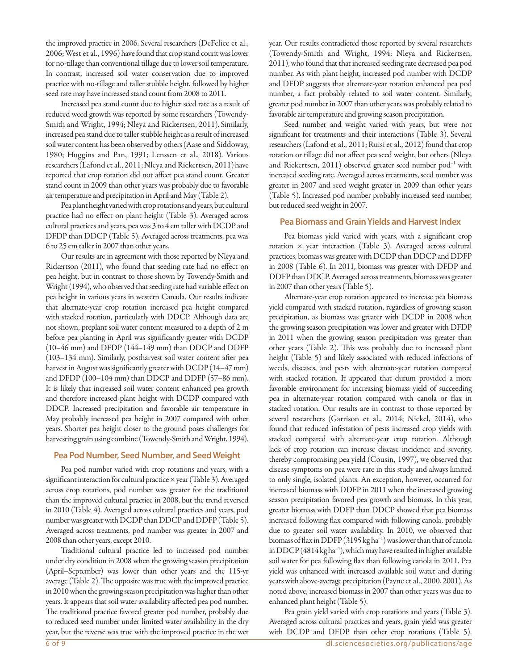the improved practice in 2006. Several researchers (DeFelice et al., 2006; West et al., 1996) have found that crop stand count was lower for no-tillage than conventional tillage due to lower soil temperature. In contrast, increased soil water conservation due to improved practice with no-tillage and taller stubble height, followed by higher seed rate may have increased stand count from 2008 to 2011.

Increased pea stand count due to higher seed rate as a result of reduced weed growth was reported by some researchers (Towendy-Smith and Wright, 1994; Nleya and Rickertsen, 2011). Similarly, increased pea stand due to taller stubble height as a result of increased soil water content has been observed by others (Aase and Siddoway, 1980; Huggins and Pan, 1991; Lenssen et al., 2018). Various researchers (Lafond et al., 2011; Nleya and Rickertsen, 2011) have reported that crop rotation did not affect pea stand count. Greater stand count in 2009 than other years was probably due to favorable air temperature and precipitation in April and May (Table 2).

Pea plant height varied with crop rotations and years, but cultural practice had no effect on plant height (Table 3). Averaged across cultural practices and years, pea was 3 to 4 cm taller with DCDP and DFDP than DDCP (Table 5). Averaged across treatments, pea was 6 to 25 cm taller in 2007 than other years.

Our results are in agreement with those reported by Nleya and Rickertson (2011), who found that seeding rate had no effect on pea height, but in contrast to those shown by Towendy-Smith and Wright (1994), who observed that seeding rate had variable effect on pea height in various years in western Canada. Our results indicate that alternate-year crop rotation increased pea height compared with stacked rotation, particularly with DDCP. Although data are not shown, preplant soil water content measured to a depth of 2 m before pea planting in April was significantly greater with DCDP (10–46 mm) and DFDP (144–149 mm) than DDCP and DDFP (103–134 mm). Similarly, postharvest soil water content after pea harvest in August was significantly greater with DCDP (14–47 mm) and DFDP (100–104 mm) than DDCP and DDFP (57–86 mm). It is likely that increased soil water content enhanced pea growth and therefore increased plant height with DCDP compared with DDCP. Increased precipitation and favorable air temperature in May probably increased pea height in 2007 compared with other years. Shorter pea height closer to the ground poses challenges for harvesting grain using combine (Towendy-Smith and Wright, 1994).

# **Pea Pod Number, Seed Number, and Seed Weight**

Pea pod number varied with crop rotations and years, with a significant interaction for cultural practice × year (Table 3). Averaged across crop rotations, pod number was greater for the traditional than the improved cultural practice in 2008, but the trend reversed in 2010 (Table 4). Averaged across cultural practices and years, pod number was greater with DCDP than DDCP and DDFP (Table 5). Averaged across treatments, pod number was greater in 2007 and 2008 than other years, except 2010.

Traditional cultural practice led to increased pod number under dry condition in 2008 when the growing season precipitation (April–September) was lower than other years and the 115-yr average (Table 2). The opposite was true with the improved practice in 2010 when the growing season precipitation was higher than other years. It appears that soil water availability affected pea pod number. The traditional practice favored greater pod number, probably due to reduced seed number under limited water availability in the dry year, but the reverse was true with the improved practice in the wet year. Our results contradicted those reported by several researchers (Towendy-Smith and Wright, 1994; Nleya and Rickertsen, 2011), who found that that increased seeding rate decreased pea pod number. As with plant height, increased pod number with DCDP and DFDP suggests that alternate-year rotation enhanced pea pod number, a fact probably related to soil water content. Similarly, greater pod number in 2007 than other years was probably related to favorable air temperature and growing season precipitation.

Seed number and weight varied with years, but were not significant for treatments and their interactions (Table 3). Several researchers (Lafond et al., 2011; Ruisi et al., 2012) found that crop rotation or tillage did not affect pea seed weight, but others (Nleya and Rickertsen, 2011) observed greater seed number pod<sup>-1</sup> with increased seeding rate. Averaged across treatments, seed number was greater in 2007 and seed weight greater in 2009 than other years (Table 5). Increased pod number probably increased seed number, but reduced seed weight in 2007.

# **Pea Biomass and Grain Yields and Harvest Index**

Pea biomass yield varied with years, with a significant crop rotation  $\times$  year interaction (Table 3). Averaged across cultural practices, biomass was greater with DCDP than DDCP and DDFP in 2008 (Table 6). In 2011, biomass was greater with DFDP and DDFP than DDCP. Averaged across treatments, biomass was greater in 2007 than other years (Table 5).

Alternate-year crop rotation appeared to increase pea biomass yield compared with stacked rotation, regardless of growing season precipitation, as biomass was greater with DCDP in 2008 when the growing season precipitation was lower and greater with DFDP in 2011 when the growing season precipitation was greater than other years (Table 2). This was probably due to increased plant height (Table 5) and likely associated with reduced infections of weeds, diseases, and pests with alternate-year rotation compared with stacked rotation. It appeared that durum provided a more favorable environment for increasing biomass yield of succeeding pea in alternate-year rotation compared with canola or flax in stacked rotation. Our results are in contrast to those reported by several researchers (Garrison et al., 2014; Nickel, 2014), who found that reduced infestation of pests increased crop yields with stacked compared with alternate-year crop rotation. Although lack of crop rotation can increase disease incidence and severity, thereby compromising pea yield (Cousin, 1997), we observed that disease symptoms on pea were rare in this study and always limited to only single, isolated plants. An exception, however, occurred for increased biomass with DDFP in 2011 when the increased growing season precipitation favored pea growth and biomass. In this year, greater biomass with DDFP than DDCP showed that pea biomass increased following flax compared with following canola, probably due to greater soil water availability. In 2010, we observed that biomass of flax in DDFP (3195 kg ha<sup>-1</sup>) was lower than that of canola in DDCP (4814 kg ha<sup>-1</sup>), which may have resulted in higher available soil water for pea following flax than following canola in 2011. Pea yield was enhanced with increased available soil water and during years with above-average precipitation (Payne et al., 2000, 2001). As noted above, increased biomass in 2007 than other years was due to enhanced plant height (Table 5).

Pea grain yield varied with crop rotations and years (Table 3). Averaged across cultural practices and years, grain yield was greater with DCDP and DFDP than other crop rotations (Table 5).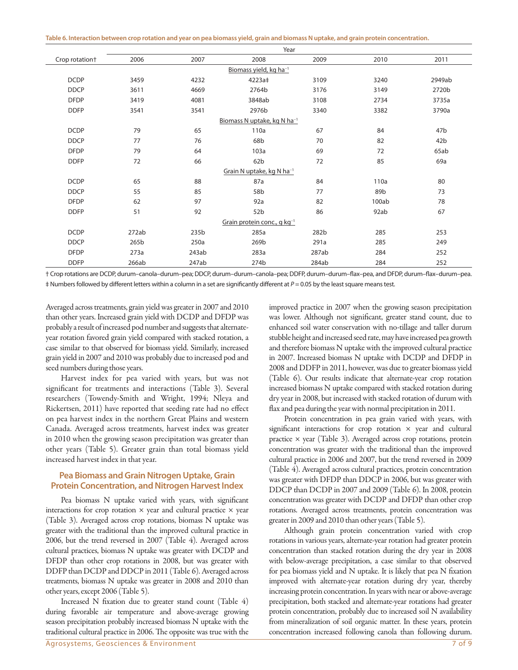**Table 6. Interaction between crop rotation and year on pea biomass yield, grain and biomass N uptake, and grain protein concentration.**

|                                         | Year  |       |                                         |       |       |                 |  |  |  |  |  |
|-----------------------------------------|-------|-------|-----------------------------------------|-------|-------|-----------------|--|--|--|--|--|
| Crop rotation <sup>+</sup>              | 2006  | 2007  | 2008                                    | 2009  | 2010  | 2011            |  |  |  |  |  |
|                                         |       |       | Biomass yield, kg ha <sup>-1</sup>      |       |       |                 |  |  |  |  |  |
| <b>DCDP</b>                             | 3459  | 4232  | 4223a‡                                  | 3109  | 3240  | 2949ab          |  |  |  |  |  |
| <b>DDCP</b>                             | 3611  | 4669  | 2764b                                   | 3176  | 3149  | 2720b           |  |  |  |  |  |
| <b>DFDP</b>                             | 3419  | 4081  | 3848ab                                  | 3108  | 2734  | 3735a           |  |  |  |  |  |
| <b>DDFP</b>                             | 3541  | 3541  | 2976b                                   | 3340  | 3382  | 3790a           |  |  |  |  |  |
| Biomass N uptake, kg N ha <sup>-1</sup> |       |       |                                         |       |       |                 |  |  |  |  |  |
| <b>DCDP</b>                             | 79    | 65    | 110a                                    | 67    | 84    | 47b             |  |  |  |  |  |
| <b>DDCP</b>                             | 77    | 76    | 68b                                     | 70    | 82    | 42 <sub>b</sub> |  |  |  |  |  |
| <b>DFDP</b>                             | 79    | 64    | 103a                                    | 69    | 72    | 65ab            |  |  |  |  |  |
| <b>DDFP</b>                             | 72    | 66    | 62 <sub>b</sub>                         | 72    | 85    | 69a             |  |  |  |  |  |
|                                         |       |       | Grain N uptake, kg N ha <sup>-1</sup>   |       |       |                 |  |  |  |  |  |
| <b>DCDP</b>                             | 65    | 88    | 87a                                     | 84    | 110a  | 80              |  |  |  |  |  |
| <b>DDCP</b>                             | 55    | 85    | 58b                                     | 77    | 89b   | 73              |  |  |  |  |  |
| <b>DFDP</b>                             | 62    | 97    | 92a                                     | 82    | 100ab | 78              |  |  |  |  |  |
| <b>DDFP</b>                             | 51    | 92    | 52b                                     | 86    | 92ab  | 67              |  |  |  |  |  |
|                                         |       |       | Grain protein conc., g kg <sup>-1</sup> |       |       |                 |  |  |  |  |  |
| <b>DCDP</b>                             | 272ab | 235b  | 285a                                    | 282b  | 285   | 253             |  |  |  |  |  |
| <b>DDCP</b>                             | 265b  | 250a  | 269b                                    | 291a  | 285   | 249             |  |  |  |  |  |
| <b>DFDP</b>                             | 273a  | 243ab | 283a                                    | 287ab | 284   | 252             |  |  |  |  |  |
| <b>DDFP</b>                             | 266ab | 247ab | 274b                                    | 284ab | 284   | 252             |  |  |  |  |  |

† Crop rotations are DCDP, durum–canola–durum–pea; DDCP, durum–durum–canola–pea; DDFP, durum–durum–flax–pea, and DFDP, durum–flax–durum–pea. ‡ Numbers followed by different letters within a column in a set are significantly different at *P* = 0.05 by the least square means test.

Averaged across treatments, grain yield was greater in 2007 and 2010 than other years. Increased grain yield with DCDP and DFDP was probably a result of increased pod number and suggests that alternateyear rotation favored grain yield compared with stacked rotation, a case similar to that observed for biomass yield. Similarly, increased grain yield in 2007 and 2010 was probably due to increased pod and seed numbers during those years.

Harvest index for pea varied with years, but was not significant for treatments and interactions (Table 3). Several researchers (Towendy-Smith and Wright, 1994; Nleya and Rickertsen, 2011) have reported that seeding rate had no effect on pea harvest index in the northern Great Plains and western Canada. Averaged across treatments, harvest index was greater in 2010 when the growing season precipitation was greater than other years (Table 5). Greater grain than total biomass yield increased harvest index in that year.

# **Pea Biomass and Grain Nitrogen Uptake, Grain Protein Concentration, and Nitrogen Harvest Index**

Pea biomass N uptake varied with years, with significant interactions for crop rotation  $\times$  year and cultural practice  $\times$  year (Table 3). Averaged across crop rotations, biomass N uptake was greater with the traditional than the improved cultural practice in 2006, but the trend reversed in 2007 (Table 4). Averaged across cultural practices, biomass N uptake was greater with DCDP and DFDP than other crop rotations in 2008, but was greater with DDFP than DCDP and DDCP in 2011 (Table 6). Averaged across treatments, biomass N uptake was greater in 2008 and 2010 than other years, except 2006 (Table 5).

Increased N fixation due to greater stand count (Table 4) during favorable air temperature and above-average growing season precipitation probably increased biomass N uptake with the traditional cultural practice in 2006. The opposite was true with the improved practice in 2007 when the growing season precipitation was lower. Although not significant, greater stand count, due to enhanced soil water conservation with no-tillage and taller durum stubble height and increased seed rate, may have increased pea growth and therefore biomass N uptake with the improved cultural practice in 2007. Increased biomass N uptake with DCDP and DFDP in 2008 and DDFP in 2011, however, was due to greater biomass yield (Table 6). Our results indicate that alternate-year crop rotation increased biomass N uptake compared with stacked rotation during dry year in 2008, but increased with stacked rotation of durum with flax and pea during the year with normal precipitation in 2011.

Protein concentration in pea grain varied with years, with significant interactions for crop rotation  $\times$  year and cultural practice  $\times$  year (Table 3). Averaged across crop rotations, protein concentration was greater with the traditional than the improved cultural practice in 2006 and 2007, but the trend reversed in 2009 (Table 4). Averaged across cultural practices, protein concentration was greater with DFDP than DDCP in 2006, but was greater with DDCP than DCDP in 2007 and 2009 (Table 6). In 2008, protein concentration was greater with DCDP and DFDP than other crop rotations. Averaged across treatments, protein concentration was greater in 2009 and 2010 than other years (Table 5).

Although grain protein concentration varied with crop rotations in various years, alternate-year rotation had greater protein concentration than stacked rotation during the dry year in 2008 with below-average precipitation, a case similar to that observed for pea biomass yield and N uptake. It is likely that pea N fixation improved with alternate-year rotation during dry year, thereby increasing protein concentration. In years with near or above-average precipitation, both stacked and alternate-year rotations had greater protein concentration, probably due to increased soil N availability from mineralization of soil organic matter. In these years, protein concentration increased following canola than following durum.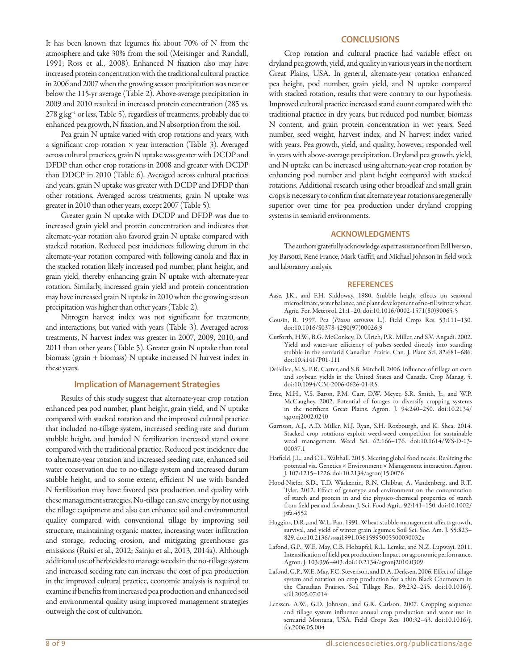It has been known that legumes fix about 70% of N from the atmosphere and take 30% from the soil (Meisinger and Randall, 1991; Ross et al., 2008). Enhanced N fixation also may have increased protein concentration with the traditional cultural practice in 2006 and 2007 when the growing season precipitation was near or below the 115-yr average (Table 2). Above-average precipitation in 2009 and 2010 resulted in increased protein concentration (285 vs. 278 g kg<sup>-1</sup> or less, Table 5), regardless of treatments, probably due to enhanced pea growth, N fixation, and N absorption from the soil.

Pea grain N uptake varied with crop rotations and years, with a significant crop rotation  $\times$  year interaction (Table 3). Averaged across cultural practices, grain N uptake was greater with DCDP and DFDP than other crop rotations in 2008 and greater with DCDP than DDCP in 2010 (Table 6). Averaged across cultural practices and years, grain N uptake was greater with DCDP and DFDP than other rotations. Averaged across treatments, grain N uptake was greater in 2010 than other years, except 2007 (Table 5).

Greater grain N uptake with DCDP and DFDP was due to increased grain yield and protein concentration and indicates that alternate-year rotation also favored grain N uptake compared with stacked rotation. Reduced pest incidences following durum in the alternate-year rotation compared with following canola and flax in the stacked rotation likely increased pod number, plant height, and grain yield, thereby enhancing grain N uptake with alternate-year rotation. Similarly, increased grain yield and protein concentration may have increased grain N uptake in 2010 when the growing season precipitation was higher than other years (Table 2).

Nitrogen harvest index was not significant for treatments and interactions, but varied with years (Table 3). Averaged across treatments, N harvest index was greater in 2007, 2009, 2010, and 2011 than other years (Table 5). Greater grain N uptake than total biomass (grain + biomass) N uptake increased N harvest index in these years.

## **Implication of Management Strategies**

Results of this study suggest that alternate-year crop rotation enhanced pea pod number, plant height, grain yield, and N uptake compared with stacked rotation and the improved cultural practice that included no-tillage system, increased seeding rate and durum stubble height, and banded N fertilization increased stand count compared with the traditional practice. Reduced pest incidence due to alternate-year rotation and increased seeding rate, enhanced soil water conservation due to no-tillage system and increased durum stubble height, and to some extent, efficient N use with banded N fertilization may have favored pea production and quality with these management strategies. No-tillage can save energy by not using the tillage equipment and also can enhance soil and environmental quality compared with conventional tillage by improving soil structure, maintaining organic matter, increasing water infiltration and storage, reducing erosion, and mitigating greenhouse gas emissions (Ruisi et al., 2012; Sainju et al., 2013, 2014a). Although additional use of herbicides to manage weeds in the no-tillage system and increased seeding rate can increase the cost of pea production in the improved cultural practice, economic analysis is required to examine if benefits from increased pea production and enhanced soil and environmental quality using improved management strategies outweigh the cost of cultivation.

# **CONCLUSIONS**

Crop rotation and cultural practice had variable effect on dryland pea growth, yield, and quality in various years in the northern Great Plains, USA. In general, alternate-year rotation enhanced pea height, pod number, grain yield, and N uptake compared with stacked rotation, results that were contrary to our hypothesis. Improved cultural practice increased stand count compared with the traditional practice in dry years, but reduced pod number, biomass N content, and grain protein concentration in wet years. Seed number, seed weight, harvest index, and N harvest index varied with years. Pea growth, yield, and quality, however, responded well in years with above-average precipitation. Dryland pea growth, yield, and N uptake can be increased using alternate-year crop rotation by enhancing pod number and plant height compared with stacked rotations. Additional research using other broadleaf and small grain crops is necessary to confirm that alternate year rotations are generally superior over time for pea production under dryland cropping systems in semiarid environments.

#### **ACKNOWLEDGMENTS**

The authors gratefully acknowledge expert assistance from Bill Iversen, Joy Barsotti, René France, Mark Gaffri, and Michael Johnson in field work and laboratory analysis.

#### **REFERENCES**

- Aase, J.K., and F.H. Siddoway. 1980. Stubble height effects on seasonal microclimate, water balance, and plant development of no-till winter wheat. Agric. For. Meteorol. 21:1–20. [doi:10.1016/0002-1571\(80\)90065-5](https://doi.org/10.1016/0002-1571(80)90065-5)
- Cousin, R. 1997. Pea (*Pisum sativum* L.). Field Crops Res. 53:111–130. [doi:10.1016/S0378-4290\(97\)00026-9](https://doi.org/10.1016/S0378-4290(97)00026-9)
- Cutforth, H.W., B.G. McConkey, D. Ulrich, P.R. Miller, and S.V. Angadi. 2002. Yield and water-use efficiency of pulses seeded directly into standing stubble in the semiarid Canadian Prairie. Can. J. Plant Sci. 82:681–686. [doi:10.4141/P01-111](https://doi.org/10.4141/P01-111)
- DeFelice, M.S., P.R. Carter, and S.B. Mitchell. 2006. Influence of tillage on corn and soybean yields in the United States and Canada. Crop Manag. 5. [doi:10.1094/CM-2006-0626-01-RS](https://doi.org/10.1094/CM-2006-0626-01-RS).
- Entz, M.H., V.S. Baron, P.M. Carr, D.W. Meyer, S.R. Smith, Jr., and W.P. McCaughey. 2002. Potential of forages to diversify cropping systems in the northern Great Plains. Agron. J. 94:240–250. [doi:10.2134/](https://doi.org/10.2134/agronj2002.0240) [agronj2002.0240](https://doi.org/10.2134/agronj2002.0240)
- Garrison, A.J., A.D. Miller, M.J. Ryan, S.H. Roxbourgh, and K. Shea. 2014. Stacked crop rotations exploit weed-weed competition for sustainable weed management. Weed Sci. 62:166–176. [doi:10.1614/WS-D-13-](https://doi.org/10.1614/WS-D-13-00037.1) [00037.1](https://doi.org/10.1614/WS-D-13-00037.1)
- Hatfield, J.L., and C.L. Walthall. 2015. Meeting global food needs: Realizing the potential via. Genetics × Environment × Management interaction. Agron. J. 107:1215–1226. [doi:10.2134/agronj15.0076](https://doi.org/10.2134/agronj15.0076)
- Hood-Niefer, S.D., T.D. Warkentin, R.N. Chibbar, A. Vandenberg, and R.T. Tyler. 2012. Effect of genotype and environment on the concentration of starch and protein in and the physico-chemical properties of starch from field pea and favabean. J. Sci. Food Agric. 92:141–150. [doi:10.1002/](https://doi.org/10.1002/jsfa.4552) [jsfa.4552](https://doi.org/10.1002/jsfa.4552)
- Huggins, D.R., and W.L. Pan. 1991. Wheat stubble management affects growth, survival, and yield of winter grain legumes. Soil Sci. Soc. Am. J. 55:823– 829. [doi:10.2136/sssaj1991.03615995005500030032x](https://doi.org/10.2136/sssaj1991.03615995005500030032x)
- Lafond, G.P., W.E. May, C.B. Holzapfel, R.L. Lemke, and N.Z. Lupwayi. 2011. Intensification of field pea production: Impact on agronomic performance. Agron. J. 103:396–403. [doi:10.2134/agronj2010.0309](https://doi.org/10.2134/agronj2010.0309)
- Lafond, G.P., W.E. May, F.C. Stevenson, and D.A. Derksen. 2006. Effect of tillage system and rotation on crop production for a thin Black Chernozem in the Canadian Prairies. Soil Tillage Res. 89:232–245. [doi:10.1016/j.](https://doi.org/10.1016/j.still.2005.07.014) [still.2005.07.014](https://doi.org/10.1016/j.still.2005.07.014)
- Lenssen, A.W., G.D. Johnson, and G.R. Carlson. 2007. Cropping sequence and tillage system influence annual crop production and water use in semiarid Montana, USA. Field Crops Res. 100:32–43. [doi:10.1016/j.](https://doi.org/10.1016/j.fcr.2006.05.004) [fcr.2006.05.004](https://doi.org/10.1016/j.fcr.2006.05.004)